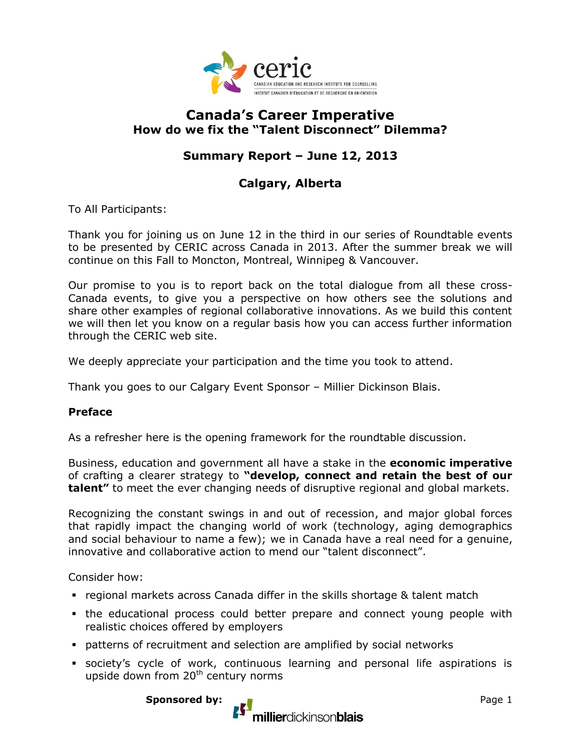

## **Canada's Career Imperative How do we fix the "Talent Disconnect" Dilemma?**

# **Summary Report – June 12, 2013**

# **Calgary, Alberta**

To All Participants:

Thank you for joining us on June 12 in the third in our series of Roundtable events to be presented by CERIC across Canada in 2013. After the summer break we will continue on this Fall to Moncton, Montreal, Winnipeg & Vancouver.

Our promise to you is to report back on the total dialogue from all these cross-Canada events, to give you a perspective on how others see the solutions and share other examples of regional collaborative innovations. As we build this content we will then let you know on a regular basis how you can access further information through the CERIC web site.

We deeply appreciate your participation and the time you took to attend.

Thank you goes to our Calgary Event Sponsor – Millier Dickinson Blais.

#### **Preface**

As a refresher here is the opening framework for the roundtable discussion.

Business, education and government all have a stake in the **economic imperative**  of crafting a clearer strategy to **"develop, connect and retain the best of our talent"** to meet the ever changing needs of disruptive regional and global markets.

Recognizing the constant swings in and out of recession, and major global forces that rapidly impact the changing world of work (technology, aging demographics and social behaviour to name a few); we in Canada have a real need for a genuine, innovative and collaborative action to mend our "talent disconnect".

Consider how:

- regional markets across Canada differ in the skills shortage & talent match
- the educational process could better prepare and connect young people with realistic choices offered by employers
- patterns of recruitment and selection are amplified by social networks
- society's cycle of work, continuous learning and personal life aspirations is upside down from  $20<sup>th</sup>$  century norms

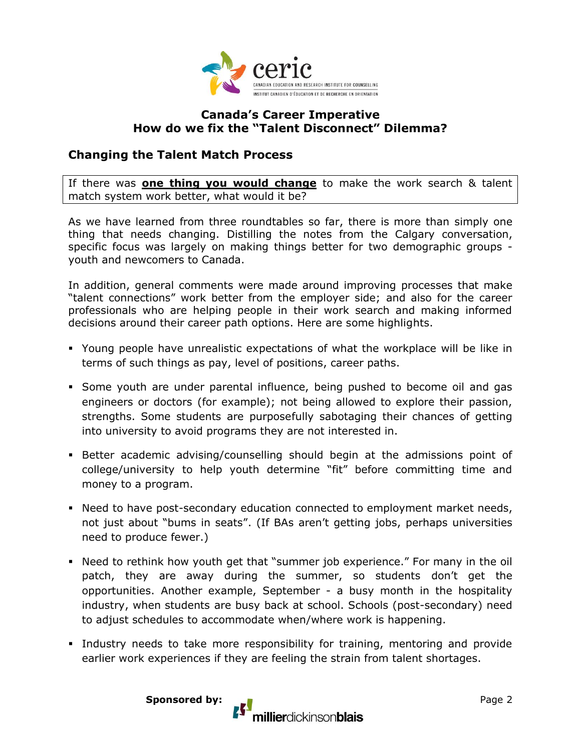

### **Canada's Career Imperative How do we fix the "Talent Disconnect" Dilemma?**

### **Changing the Talent Match Process**

If there was **one thing you would change** to make the work search & talent match system work better, what would it be?

As we have learned from three roundtables so far, there is more than simply one thing that needs changing. Distilling the notes from the Calgary conversation, specific focus was largely on making things better for two demographic groups youth and newcomers to Canada.

In addition, general comments were made around improving processes that make "talent connections" work better from the employer side; and also for the career professionals who are helping people in their work search and making informed decisions around their career path options. Here are some highlights.

- Young people have unrealistic expectations of what the workplace will be like in terms of such things as pay, level of positions, career paths.
- Some youth are under parental influence, being pushed to become oil and gas engineers or doctors (for example); not being allowed to explore their passion, strengths. Some students are purposefully sabotaging their chances of getting into university to avoid programs they are not interested in.
- Better academic advising/counselling should begin at the admissions point of college/university to help youth determine "fit" before committing time and money to a program.
- Need to have post-secondary education connected to employment market needs, not just about "bums in seats". (If BAs aren't getting jobs, perhaps universities need to produce fewer.)
- Need to rethink how youth get that "summer job experience." For many in the oil patch, they are away during the summer, so students don't get the opportunities. Another example, September - a busy month in the hospitality industry, when students are busy back at school. Schools (post-secondary) need to adjust schedules to accommodate when/where work is happening.
- Industry needs to take more responsibility for training, mentoring and provide earlier work experiences if they are feeling the strain from talent shortages.

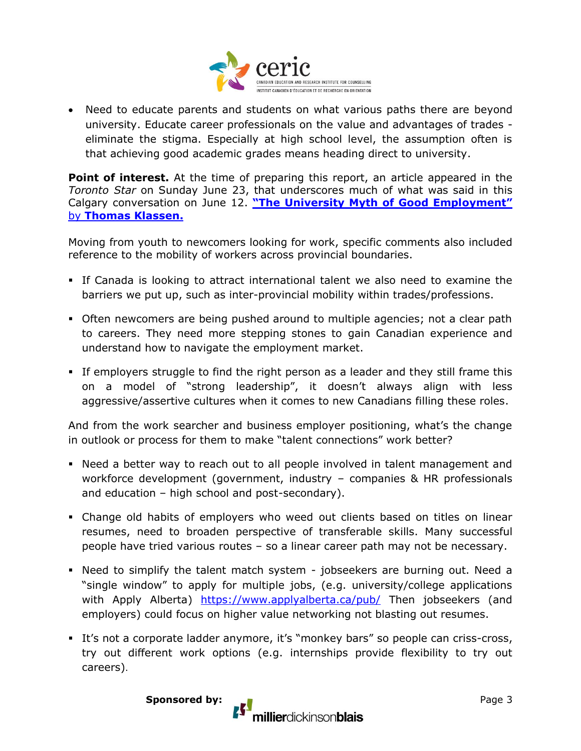

 Need to educate parents and students on what various paths there are beyond university. Educate career professionals on the value and advantages of trades eliminate the stigma. Especially at high school level, the assumption often is that achieving good academic grades means heading direct to university.

**Point of interest.** At the time of preparing this report, an article appeared in the *Toronto Star* on Sunday June 23, that underscores much of what was said in this Calgary conversation on June 12. **["The University Myth of Good Employment"](http://www.thestar.com/opinion/commentary/2013/06/23/the_university_myth_of_good_employment.html)** by **[Thomas Klassen.](http://www.thestar.com/opinion/commentary/2013/06/23/the_university_myth_of_good_employment.html)**

Moving from youth to newcomers looking for work, specific comments also included reference to the mobility of workers across provincial boundaries.

- If Canada is looking to attract international talent we also need to examine the barriers we put up, such as inter-provincial mobility within trades/professions.
- Often newcomers are being pushed around to multiple agencies; not a clear path to careers. They need more stepping stones to gain Canadian experience and understand how to navigate the employment market.
- If employers struggle to find the right person as a leader and they still frame this on a model of "strong leadership", it doesn't always align with less aggressive/assertive cultures when it comes to new Canadians filling these roles.

And from the work searcher and business employer positioning, what's the change in outlook or process for them to make "talent connections" work better?

- Need a better way to reach out to all people involved in talent management and workforce development (government, industry – companies & HR professionals and education – high school and post-secondary).
- Change old habits of employers who weed out clients based on titles on linear resumes, need to broaden perspective of transferable skills. Many successful people have tried various routes – so a linear career path may not be necessary.
- Need to simplify the talent match system jobseekers are burning out. Need a "single window" to apply for multiple jobs, (e.g. university/college applications with Apply Alberta) <https://www.applyalberta.ca/pub/> Then jobseekers (and employers) could focus on higher value networking not blasting out resumes.
- It's not a corporate ladder anymore, it's "monkey bars" so people can criss-cross, try out different work options (e.g. internships provide flexibility to try out careers).

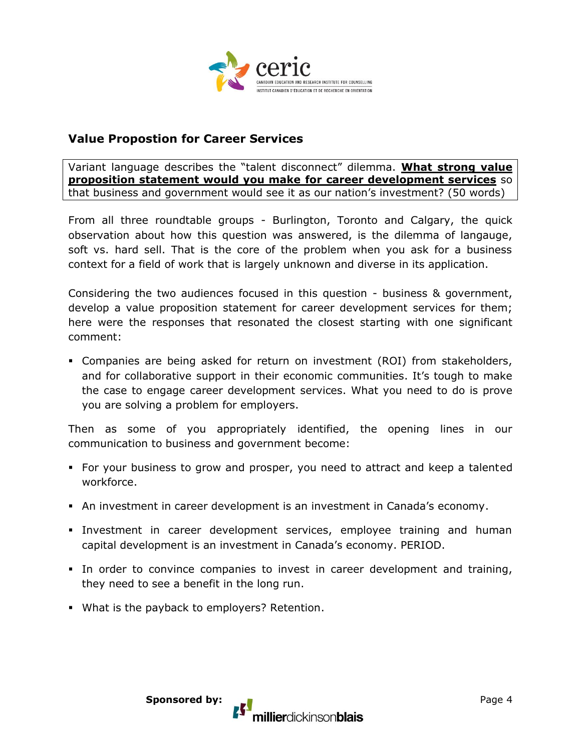

### **Value Propostion for Career Services**

Variant language describes the "talent disconnect" dilemma. **What strong value proposition statement would you make for career development services** so that business and government would see it as our nation's investment? (50 words)

From all three roundtable groups - Burlington, Toronto and Calgary, the quick observation about how this question was answered, is the dilemma of langauge, soft vs. hard sell. That is the core of the problem when you ask for a business context for a field of work that is largely unknown and diverse in its application.

Considering the two audiences focused in this question - business & government, develop a value proposition statement for career development services for them; here were the responses that resonated the closest starting with one significant comment:

 Companies are being asked for return on investment (ROI) from stakeholders, and for collaborative support in their economic communities. It's tough to make the case to engage career development services. What you need to do is prove you are solving a problem for employers.

Then as some of you appropriately identified, the opening lines in our communication to business and government become:

- For your business to grow and prosper, you need to attract and keep a talented workforce.
- An investment in career development is an investment in Canada's economy.
- Investment in career development services, employee training and human capital development is an investment in Canada's economy. PERIOD.
- In order to convince companies to invest in career development and training, they need to see a benefit in the long run.
- What is the payback to employers? Retention.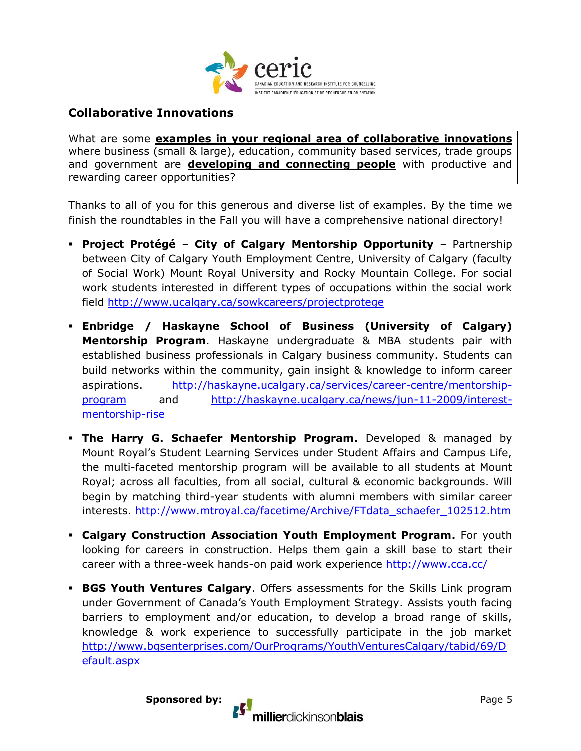

### **Collaborative Innovations**

What are some **examples in your regional area of collaborative innovations** where business (small & large), education, community based services, trade groups and government are **developing and connecting people** with productive and rewarding career opportunities?

Thanks to all of you for this generous and diverse list of examples. By the time we finish the roundtables in the Fall you will have a comprehensive national directory!

- **Project Protégé City of Calgary Mentorship Opportunity**  Partnership between City of Calgary Youth Employment Centre, University of Calgary (faculty of Social Work) Mount Royal University and Rocky Mountain College. For social work students interested in different types of occupations within the social work field<http://www.ucalgary.ca/sowkcareers/projectprotege>
- **Enbridge / Haskayne School of Business (University of Calgary) Mentorship Program**. Haskayne undergraduate & MBA students pair with established business professionals in Calgary business community. Students can build networks within the community, gain insight & knowledge to inform career aspirations. [http://haskayne.ucalgary.ca/services/career-centre/mentorship](http://haskayne.ucalgary.ca/services/career-centre/mentorship-program)[program](http://haskayne.ucalgary.ca/services/career-centre/mentorship-program) and [http://haskayne.ucalgary.ca/news/jun-11-2009/interest](http://haskayne.ucalgary.ca/news/jun-11-2009/interest-mentorship-rise)[mentorship-rise](http://haskayne.ucalgary.ca/news/jun-11-2009/interest-mentorship-rise)
- **The Harry G. Schaefer Mentorship Program.** Developed & managed by Mount Royal's Student Learning Services under Student Affairs and Campus Life, the multi-faceted mentorship program will be available to all students at Mount Royal; across all faculties, from all social, cultural & economic backgrounds. Will begin by matching third-year students with alumni members with similar career interests. [http://www.mtroyal.ca/facetime/Archive/FTdata\\_schaefer\\_102512.htm](http://www.mtroyal.ca/facetime/Archive/FTdata_schaefer_102512.htm)
- **Calgary Construction Association Youth Employment Program.** For youth looking for careers in construction. Helps them gain a skill base to start their career with a three-week hands-on paid work experience<http://www.cca.cc/>
- **BGS Youth Ventures Calgary**. Offers assessments for the Skills Link program under Government of Canada's Youth Employment Strategy. Assists youth facing barriers to employment and/or education, to develop a broad range of skills, knowledge & work experience to successfully participate in the job market [http://www.bgsenterprises.com/OurPrograms/YouthVenturesCalgary/tabid/69/D](http://www.bgsenterprises.com/OurPrograms/YouthVenturesCalgary/tabid/69/Default.aspx) [efault.aspx](http://www.bgsenterprises.com/OurPrograms/YouthVenturesCalgary/tabid/69/Default.aspx)

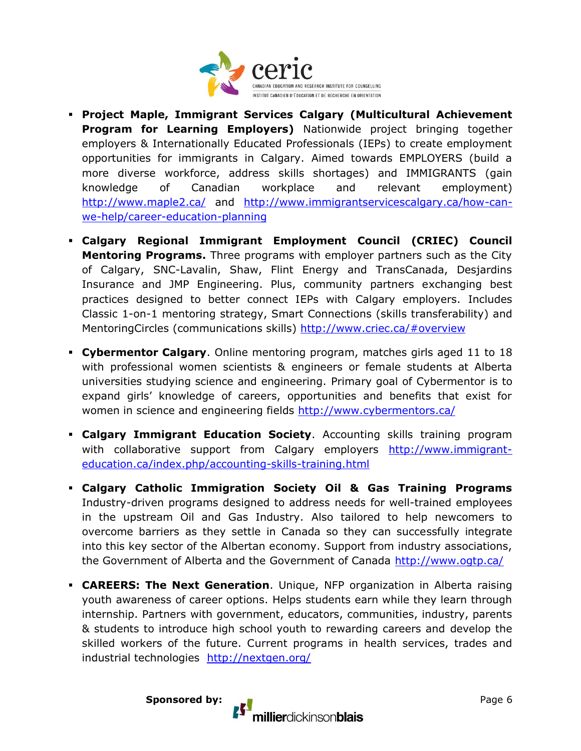

- **Project Maple, Immigrant Services Calgary (Multicultural Achievement Program for Learning Employers)** Nationwide project bringing together employers & Internationally Educated Professionals (IEPs) to create employment opportunities for immigrants in Calgary. Aimed towards EMPLOYERS (build a more diverse workforce, address skills shortages) and IMMIGRANTS (gain knowledge of Canadian workplace and relevant employment) <http://www.maple2.ca/> and [http://www.immigrantservicescalgary.ca/how-can](http://www.immigrantservicescalgary.ca/how-can-we-help/career-education-planning)[we-help/career-education-planning](http://www.immigrantservicescalgary.ca/how-can-we-help/career-education-planning)
- **Calgary Regional Immigrant Employment Council (CRIEC) Council Mentoring Programs.** Three programs with employer partners such as the City of Calgary, SNC-Lavalin, Shaw, Flint Energy and TransCanada, Desjardins Insurance and JMP Engineering. Plus, community partners exchanging best practices designed to better connect IEPs with Calgary employers. Includes Classic 1-on-1 mentoring strategy, Smart Connections (skills transferability) and MentoringCircles (communications skills)<http://www.criec.ca/#overview>
- **Cybermentor Calgary**. Online mentoring program, matches girls aged 11 to 18 with professional women scientists & engineers or female students at Alberta universities studying science and engineering. Primary goal of Cybermentor is to expand girls' knowledge of careers, opportunities and benefits that exist for women in science and engineering fields<http://www.cybermentors.ca/>
- **Calgary Immigrant Education Society**. Accounting skills training program with collaborative support from Calgary employers [http://www.immigrant](http://www.immigrant-education.ca/index.php/accounting-skills-training.html)[education.ca/index.php/accounting-skills-training.html](http://www.immigrant-education.ca/index.php/accounting-skills-training.html)
- **Calgary Catholic Immigration Society Oil & Gas Training Programs** Industry-driven programs designed to address needs for well-trained employees in the upstream Oil and Gas Industry. Also tailored to help newcomers to overcome barriers as they settle in Canada so they can successfully integrate into this key sector of the Albertan economy. Support from industry associations, the Government of Alberta and the Government of Canada<http://www.ogtp.ca/>
- **CAREERS: The Next Generation**. Unique, NFP organization in Alberta raising youth awareness of career options. Helps students earn while they learn through internship. Partners with government, educators, communities, industry, parents & students to introduce high school youth to rewarding careers and develop the skilled workers of the future. Current programs in health services, trades and industrial technologies <http://nextgen.org/>

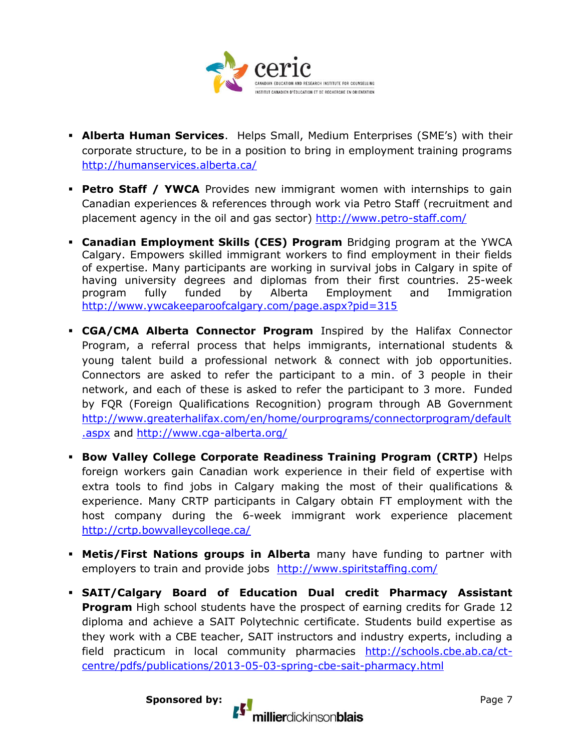

- **Alberta Human Services**. Helps Small, Medium Enterprises (SME's) with their corporate structure, to be in a position to bring in employment training programs <http://humanservices.alberta.ca/>
- **Petro Staff / YWCA** Provides new immigrant women with internships to gain Canadian experiences & references through work via Petro Staff (recruitment and placement agency in the oil and gas sector) <http://www.petro-staff.com/>
- **Canadian Employment Skills (CES) Program** Bridging program at the YWCA Calgary. Empowers skilled immigrant workers to find employment in their fields of expertise. Many participants are working in survival jobs in Calgary in spite of having university degrees and diplomas from their first countries. 25-week program fully funded by Alberta Employment and Immigration <http://www.ywcakeeparoofcalgary.com/page.aspx?pid=315>
- **CGA/CMA Alberta Connector Program** Inspired by the Halifax Connector Program, a referral process that helps immigrants, international students & young talent build a professional network & connect with job opportunities. Connectors are asked to refer the participant to a min. of 3 people in their network, and each of these is asked to refer the participant to 3 more. Funded by FQR (Foreign Qualifications Recognition) program through AB Government [http://www.greaterhalifax.com/en/home/ourprograms/connectorprogram/default](http://www.greaterhalifax.com/en/home/ourprograms/connectorprogram/default.aspx) [.aspx](http://www.greaterhalifax.com/en/home/ourprograms/connectorprogram/default.aspx) and<http://www.cga-alberta.org/>
- **Bow Valley College Corporate Readiness Training Program (CRTP)** Helps foreign workers gain Canadian work experience in their field of expertise with extra tools to find jobs in Calgary making the most of their qualifications & experience. Many CRTP participants in Calgary obtain FT employment with the host company during the 6-week immigrant work experience placement <http://crtp.bowvalleycollege.ca/>
- **Metis/First Nations groups in Alberta** many have funding to partner with employers to train and provide jobs <http://www.spiritstaffing.com/>
- **SAIT/Calgary Board of Education Dual credit Pharmacy Assistant Program** High school students have the prospect of earning credits for Grade 12 diploma and achieve a SAIT Polytechnic certificate. Students build expertise as they work with a CBE teacher, SAIT instructors and industry experts, including a field practicum in local community pharmacies [http://schools.cbe.ab.ca/ct](http://schools.cbe.ab.ca/ct-centre/pdfs/publications/2013-05-03-spring-cbe-sait-pharmacy.html)[centre/pdfs/publications/2013-05-03-spring-cbe-sait-pharmacy.html](http://schools.cbe.ab.ca/ct-centre/pdfs/publications/2013-05-03-spring-cbe-sait-pharmacy.html)